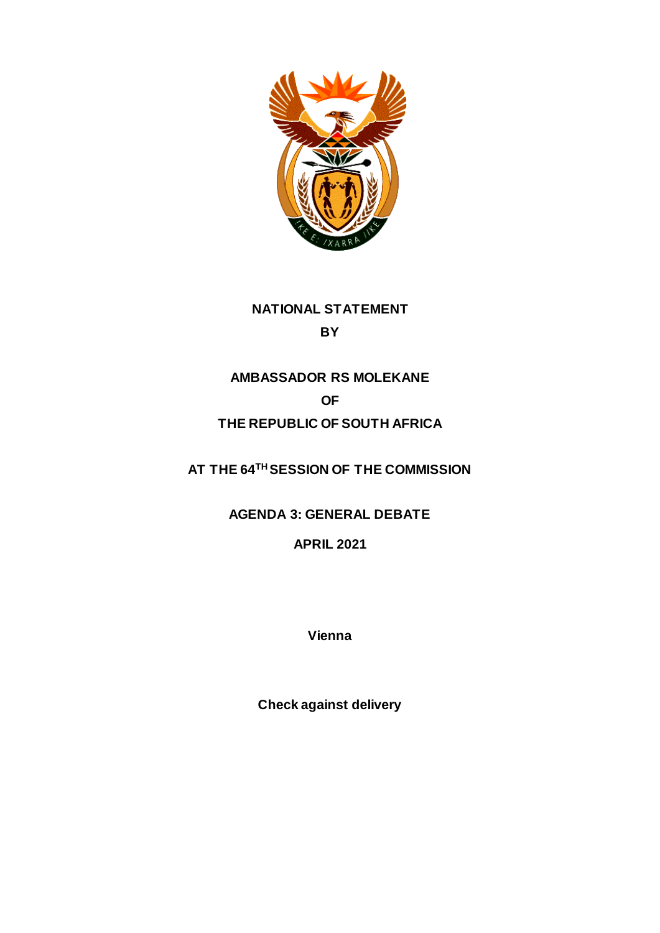

**NATIONAL STATEMENT BY**

# **AMBASSADOR RS MOLEKANE OF THE REPUBLIC OF SOUTH AFRICA**

**AT THE 64TH SESSION OF THE COMMISSION** 

**AGENDA 3: GENERAL DEBATE** 

**APRIL 2021**

**Vienna**

**Check against delivery**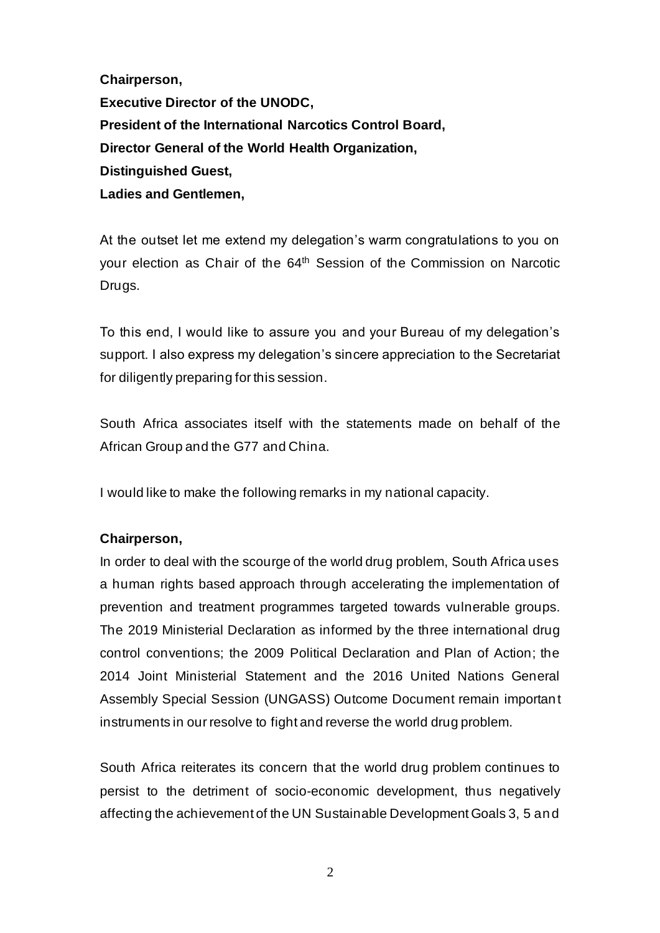**Chairperson, Executive Director of the UNODC, President of the International Narcotics Control Board, Director General of the World Health Organization, Distinguished Guest, Ladies and Gentlemen,** 

At the outset let me extend my delegation's warm congratulations to you on your election as Chair of the 64th Session of the Commission on Narcotic Drugs.

To this end, I would like to assure you and your Bureau of my delegation's support. I also express my delegation's sincere appreciation to the Secretariat for diligently preparing for this session.

South Africa associates itself with the statements made on behalf of the African Group and the G77 and China.

I would like to make the following remarks in my national capacity.

## **Chairperson,**

In order to deal with the scourge of the world drug problem, South Africa uses a human rights based approach through accelerating the implementation of prevention and treatment programmes targeted towards vulnerable groups. The 2019 Ministerial Declaration as informed by the three international drug control conventions; the 2009 Political Declaration and Plan of Action; the 2014 Joint Ministerial Statement and the 2016 United Nations General Assembly Special Session (UNGASS) Outcome Document remain important instruments in our resolve to fight and reverse the world drug problem.

South Africa reiterates its concern that the world drug problem continues to persist to the detriment of socio-economic development, thus negatively affecting the achievement of the UN Sustainable Development Goals 3, 5 and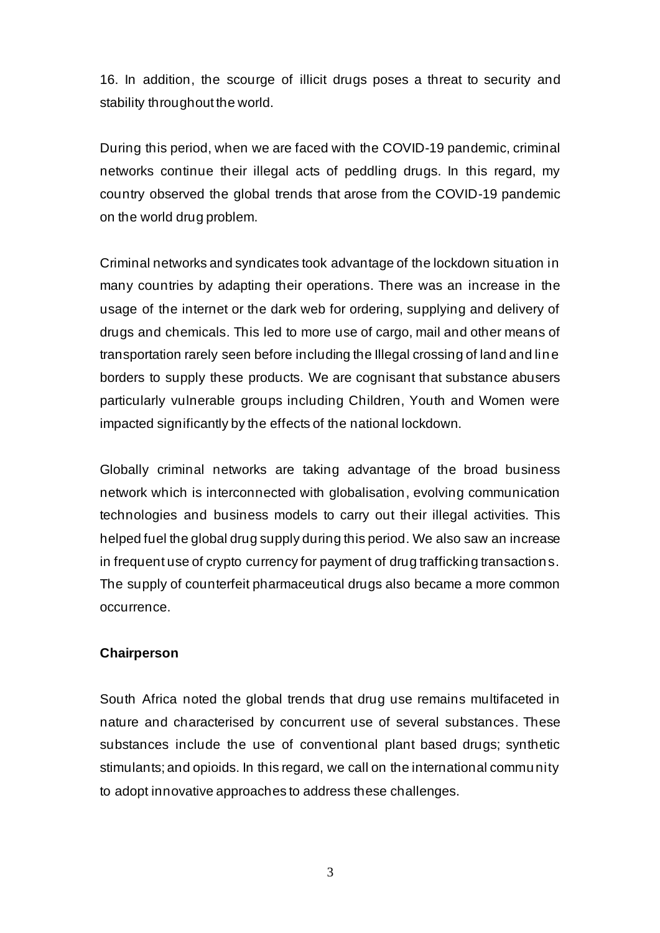16. In addition, the scourge of illicit drugs poses a threat to security and stability throughout the world.

During this period, when we are faced with the COVID-19 pandemic, criminal networks continue their illegal acts of peddling drugs. In this regard, my country observed the global trends that arose from the COVID-19 pandemic on the world drug problem.

Criminal networks and syndicates took advantage of the lockdown situation in many countries by adapting their operations. There was an increase in the usage of the internet or the dark web for ordering, supplying and delivery of drugs and chemicals. This led to more use of cargo, mail and other means of transportation rarely seen before including the Illegal crossing of land and line borders to supply these products. We are cognisant that substance abusers particularly vulnerable groups including Children, Youth and Women were impacted significantly by the effects of the national lockdown.

Globally criminal networks are taking advantage of the broad business network which is interconnected with globalisation, evolving communication technologies and business models to carry out their illegal activities. This helped fuel the global drug supply during this period. We also saw an increase in frequent use of crypto currency for payment of drug trafficking transactions. The supply of counterfeit pharmaceutical drugs also became a more common occurrence.

## **Chairperson**

South Africa noted the global trends that drug use remains multifaceted in nature and characterised by concurrent use of several substances. These substances include the use of conventional plant based drugs; synthetic stimulants; and opioids. In this regard, we call on the international community to adopt innovative approaches to address these challenges.

3